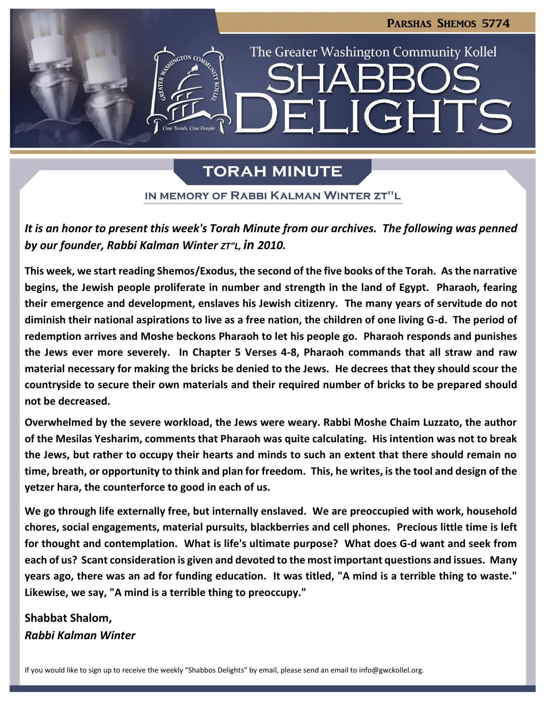

# **TORAH MINUTE**

IN MEMORY OF RABBI KALMAN WINTER ZT"L

*It is an honor to present this week's Torah Minute from our archives. The following was penned by our founder, Rabbi Kalman Winter ZT"L, in 2010.*

**This week, we start reading Shemos/Exodus, the second of the five books of the Torah. As the narrative begins, the Jewish people proliferate in number and strength in the land of Egypt. Pharaoh, fearing their emergence and development, enslaves his Jewish citizenry. The many years of servitude do not diminish their national aspirations to live as a free nation, the children of one living G-d. The period of redemption arrives and Moshe beckons Pharaoh to let his people go. Pharaoh responds and punishes the Jews ever more severely. In Chapter 5 Verses 4-8, Pharaoh commands that all straw and raw material necessary for making the bricks be denied to the Jews. He decrees that they should scour the countryside to secure their own materials and their required number of bricks to be prepared should not be decreased.**

**Overwhelmed by the severe workload, the Jews were weary. Rabbi Moshe Chaim Luzzato, the author of the Mesilas Yesharim, comments that Pharaoh was quite calculating. His intention was not to break the Jews, but rather to occupy their hearts and minds to such an extent that there should remain no time, breath, or opportunity to think and plan for freedom. This, he writes, is the tool and design of the yetzer hara, the counterforce to good in each of us.**

**We go through life externally free, but internally enslaved. We are preoccupied with work, household chores, social engagements, material pursuits, blackberries and cell phones. Precious little time is left for thought and contemplation. What is life's ultimate purpose? What does G-d want and seek from each of us? Scant consideration is given and devoted to the most important questions and issues. Many years ago, there was an ad for funding education. It was titled, "A mind is a terrible thing to waste." Likewise, we say, "A mind is a terrible thing to preoccupy."** 

**Shabbat Shalom,** *Rabbi Kalman Winter*